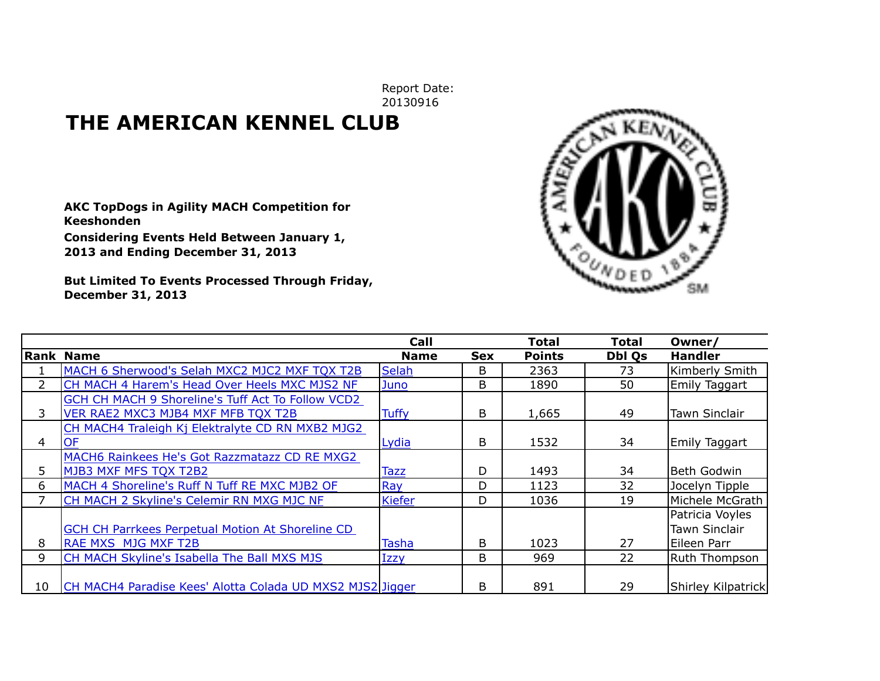Report Date: 20130916

## **THE AMERICAN KENNEL CLUB**

**AKC TopDogs in Agility MACH Competition for Keeshonden**

**Considering Events Held Between January 1, 2013 and Ending December 31, 2013**

**But Limited To Events Processed Through Friday, December 31, 2013**



|                |                                                           | <b>Call</b>   |            | <b>Total</b>  | Total         | Owner/               |
|----------------|-----------------------------------------------------------|---------------|------------|---------------|---------------|----------------------|
|                | Rank Name                                                 | <b>Name</b>   | <b>Sex</b> | <b>Points</b> | <b>Dbl Os</b> | <b>Handler</b>       |
|                | MACH 6 Sherwood's Selah MXC2 MJC2 MXF TQX T2B             | <b>Selah</b>  | B          | 2363          | 73            | Kimberly Smith       |
| $\overline{2}$ | CH MACH 4 Harem's Head Over Heels MXC MJS2 NF             | Juno          | B          | 1890          | 50            | Emily Taggart        |
|                | GCH CH MACH 9 Shoreline's Tuff Act To Follow VCD2         |               |            |               |               |                      |
| 3              | VER RAE2 MXC3 MJB4 MXF MFB TQX T2B                        | <b>Tuffy</b>  | B          | 1,665         | 49            | <b>Tawn Sinclair</b> |
|                | CH MACH4 Traleigh Kj Elektralyte CD RN MXB2 MJG2          |               |            |               |               |                      |
| 4              | <b>OF</b>                                                 | Lydia         | B          | 1532          | 34            | Emily Taggart        |
|                | MACH6 Rainkees He's Got Razzmatazz CD RE MXG2             |               |            |               |               |                      |
| 5              | MJB3 MXF MFS TQX T2B2                                     | Tazz          | D          | 1493          | 34            | Beth Godwin          |
| 6              | MACH 4 Shoreline's Ruff N Tuff RE MXC MJB2 OF             | Ray           | D          | 1123          | 32            | Jocelyn Tipple       |
|                | CH MACH 2 Skyline's Celemir RN MXG MJC NF                 | <b>Kiefer</b> | D          | 1036          | 19            | Michele McGrath      |
|                |                                                           |               |            |               |               | Patricia Voyles      |
|                | GCH CH Parrkees Perpetual Motion At Shoreline CD          |               |            |               |               | Tawn Sinclair        |
| 8              | <b>RAE MXS MJG MXF T2B</b>                                | Tasha         | B          | 1023          | 27            | Eileen Parr          |
| 9              | CH MACH Skyline's Isabella The Ball MXS MJS               | Izzy          | B          | 969           | 22            | Ruth Thompson        |
|                |                                                           |               |            |               |               |                      |
| 10             | CH MACH4 Paradise Kees' Alotta Colada UD MXS2 MJS2 Jigger |               | B          | 891           | 29            | Shirley Kilpatrick   |